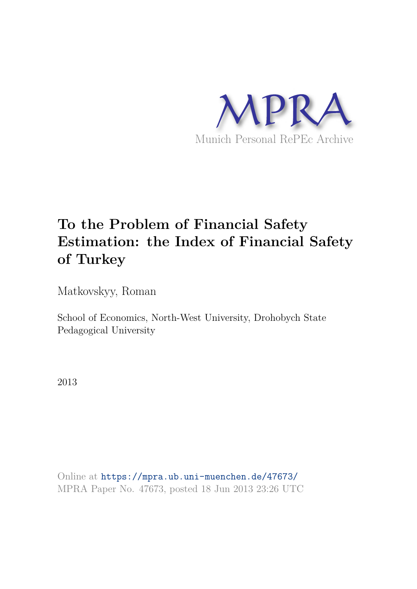

# **To the Problem of Financial Safety Estimation: the Index of Financial Safety of Turkey**

Matkovskyy, Roman

School of Economics, North-West University, Drohobych State Pedagogical University

2013

Online at https://mpra.ub.uni-muenchen.de/47673/ MPRA Paper No. 47673, posted 18 Jun 2013 23:26 UTC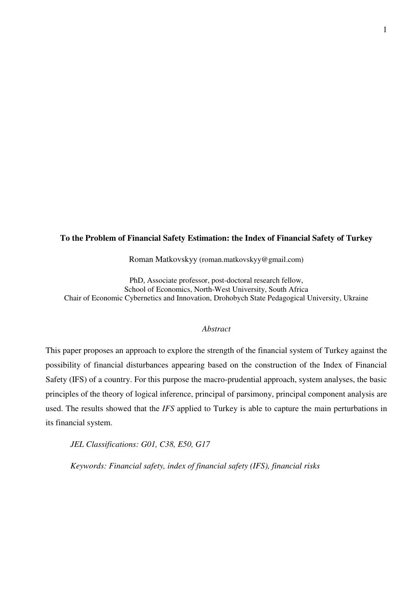# **To the Problem of Financial Safety Estimation: the Index of Financial Safety of Turkey**

Roman Matkovskyy (roman.matkovskyy@gmail.com)

PhD, Associate professor, post-doctoral research fellow, School of Economics, North-West University, South Africa Chair of Economic Cybernetics and Innovation, Drohobych State Pedagogical University, Ukraine

#### *Abstract*

This paper proposes an approach to explore the strength of the financial system of Turkey against the possibility of financial disturbances appearing based on the construction of the Index of Financial Safety (IFS) of a country. For this purpose the macro-prudential approach, system analyses, the basic principles of the theory of logical inference, principal of parsimony, principal component analysis are used. The results showed that the *IFS* applied to Turkey is able to capture the main perturbations in its financial system.

*JEL Classifications: G01, C38, E50, G17* 

*Keywords: Financial safety, index of financial safety (IFS), financial risks*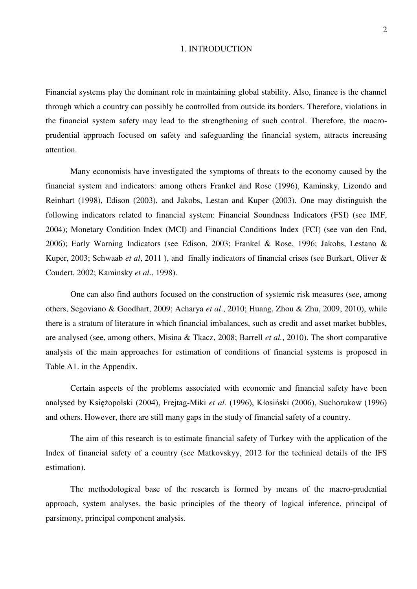#### 1. INTRODUCTION

Financial systems play the dominant role in maintaining global stability. Also, finance is the channel through which a country can possibly be controlled from outside its borders. Therefore, violations in the financial system safety may lead to the strengthening of such control. Therefore, the macroprudential approach focused on safety and safeguarding the financial system, attracts increasing attention.

Many economists have investigated the symptoms of threats to the economy caused by the financial system and indicators: among others Frankel and Rose (1996), Kaminsky, Lizondo and Reinhart (1998), Edison (2003), and Jakobs, Lestan and Kuper (2003). One may distinguish the following indicators related to financial system: Financial Soundness Indicators (FSI) (see IMF, 2004); Monetary Condition Index (MCI) and Financial Conditions Index (FCI) (see van den End, 2006); Early Warning Indicators (see Edison, 2003; Frankel & Rose, 1996; Jakobs, Lestano & Kuper, 2003; Schwaab *et al*, 2011 ), and finally indicators of financial crises (see Burkart, Oliver & Coudert, 2002; Kaminsky *et al*., 1998).

One can also find authors focused on the construction of systemic risk measures (see, among others, Segoviano & Goodhart, 2009; Acharya *et al*., 2010; Huang, Zhou & Zhu, 2009, 2010), while there is a stratum of literature in which financial imbalances, such as credit and asset market bubbles, are analysed (see, among others, Misina & Tkacz, 2008; Barrell *et al.*, 2010). The short comparative analysis of the main approaches for estimation of conditions of financial systems is proposed in Table A1. in the Appendix.

Certain aspects of the problems associated with economic and financial safety have been analysed by Księżopolski (2004), Frejtag-Miki *et al.* (1996), Kłosiński (2006), Suchorukow (1996) and others. However, there are still many gaps in the study of financial safety of a country.

The aim of this research is to estimate financial safety of Turkey with the application of the Index of financial safety of a country (see Matkovskyy, 2012 for the technical details of the IFS estimation).

The methodological base of the research is formed by means of the macro-prudential approach, system analyses, the basic principles of the theory of logical inference, principal of parsimony, principal component analysis.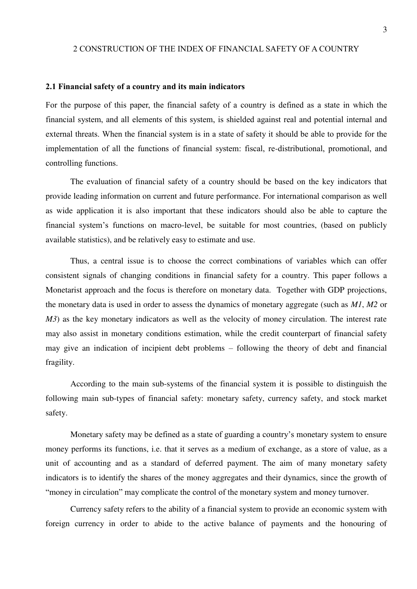# 2 CONSTRUCTION OF THE INDEX OF FINANCIAL SAFETY OF A COUNTRY

#### **2.1 Financial safety of a country and its main indicators**

For the purpose of this paper, the financial safety of a country is defined as a state in which the financial system, and all elements of this system, is shielded against real and potential internal and external threats. When the financial system is in a state of safety it should be able to provide for the implementation of all the functions of financial system: fiscal, re-distributional, promotional, and controlling functions.

The evaluation of financial safety of a country should be based on the key indicators that provide leading information on current and future performance. For international comparison as well as wide application it is also important that these indicators should also be able to capture the financial system"s functions on macro-level, be suitable for most countries, (based on publicly available statistics), and be relatively easy to estimate and use.

Thus, a central issue is to choose the correct combinations of variables which can offer consistent signals of changing conditions in financial safety for a country. This paper follows a Monetarist approach and the focus is therefore on monetary data. Together with GDP projections, the monetary data is used in order to assess the dynamics of monetary aggregate (such as *M1*, *M2* or *M3*) as the key monetary indicators as well as the velocity of money circulation. The interest rate may also assist in monetary conditions estimation, while the credit counterpart of financial safety may give an indication of incipient debt problems – following the theory of debt and financial fragility.

According to the main sub-systems of the financial system it is possible to distinguish the following main sub-types of financial safety: monetary safety, currency safety, and stock market safety.

Monetary safety may be defined as a state of guarding a country"s monetary system to ensure money performs its functions, i.e. that it serves as a medium of exchange, as a store of value, as a unit of accounting and as a standard of deferred payment. The aim of many monetary safety indicators is to identify the shares of the money aggregates and their dynamics, since the growth of "money in circulation" may complicate the control of the monetary system and money turnover.

Currency safety refers to the ability of a financial system to provide an economic system with foreign currency in order to abide to the active balance of payments and the honouring of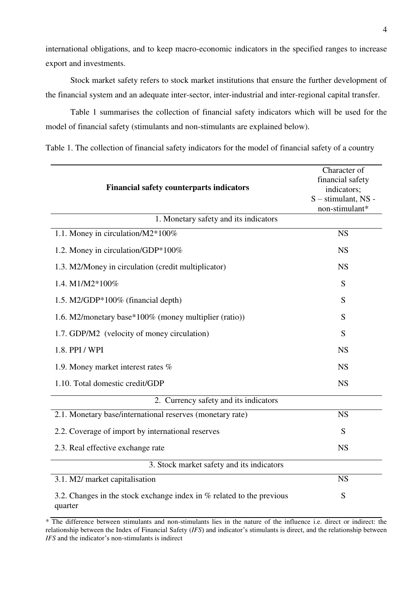international obligations, and to keep macro-economic indicators in the specified ranges to increase export and investments.

Stock market safety refers to stock market institutions that ensure the further development of the financial system and an adequate inter-sector, inter-industrial and inter-regional capital transfer.

Table 1 summarises the collection of financial safety indicators which will be used for the model of financial safety (stimulants and non-stimulants are explained below).

Table 1. The collection of financial safety indicators for the model of financial safety of a country

| <b>Financial safety counterparts indicators</b>                                    | Character of<br>financial safety<br>indicators;<br>S - stimulant, NS -<br>non-stimulant* |  |  |  |  |
|------------------------------------------------------------------------------------|------------------------------------------------------------------------------------------|--|--|--|--|
| 1. Monetary safety and its indicators                                              |                                                                                          |  |  |  |  |
| 1.1. Money in circulation/M2*100%                                                  | <b>NS</b>                                                                                |  |  |  |  |
| 1.2. Money in circulation/GDP*100%                                                 | <b>NS</b>                                                                                |  |  |  |  |
| 1.3. M2/Money in circulation (credit multiplicator)                                | <b>NS</b>                                                                                |  |  |  |  |
| 1.4. M1/M2*100%                                                                    | S                                                                                        |  |  |  |  |
| 1.5. M2/GDP*100% (financial depth)                                                 | S                                                                                        |  |  |  |  |
| 1.6. M2/monetary base*100% (money multiplier (ratio))                              | S                                                                                        |  |  |  |  |
| 1.7. GDP/M2 (velocity of money circulation)                                        | S                                                                                        |  |  |  |  |
| 1.8. PPI / WPI                                                                     | <b>NS</b>                                                                                |  |  |  |  |
| 1.9. Money market interest rates %                                                 | <b>NS</b>                                                                                |  |  |  |  |
| 1.10. Total domestic credit/GDP                                                    | <b>NS</b>                                                                                |  |  |  |  |
| 2. Currency safety and its indicators                                              |                                                                                          |  |  |  |  |
| 2.1. Monetary base/international reserves (monetary rate)                          | <b>NS</b>                                                                                |  |  |  |  |
| 2.2. Coverage of import by international reserves                                  | S                                                                                        |  |  |  |  |
| 2.3. Real effective exchange rate                                                  | <b>NS</b>                                                                                |  |  |  |  |
| 3. Stock market safety and its indicators                                          |                                                                                          |  |  |  |  |
| 3.1. M2/ market capitalisation                                                     | <b>NS</b>                                                                                |  |  |  |  |
| 3.2. Changes in the stock exchange index in $%$ related to the previous<br>quarter | S                                                                                        |  |  |  |  |

\* The difference between stimulants and non-stimulants lies in the nature of the influence i.e. direct or indirect: the relationship between the Index of Financial Safety (*IFS*) and indicator"s stimulants is direct, and the relationship between *IFS* and the indicator's non-stimulants is indirect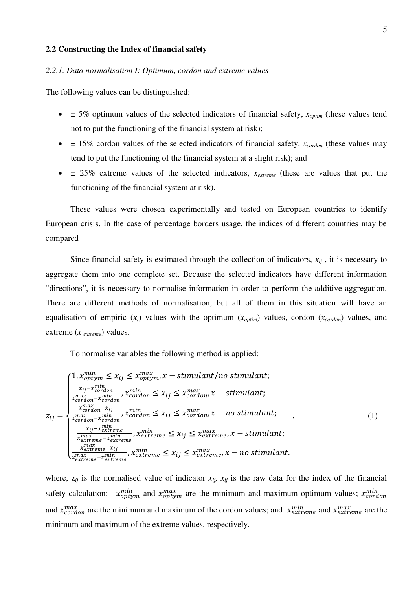## **2.2 Constructing the Index of financial safety**

#### *2.2.1. Data normalisation I: Optimum, cordon and extreme values*

The following values can be distinguished:

- $\bullet$   $\pm$  5% optimum values of the selected indicators of financial safety,  $x_{\text{optim}}$  (these values tend not to put the functioning of the financial system at risk);
- ± 15% cordon values of the selected indicators of financial safety, *xcordon* (these values may tend to put the functioning of the financial system at a slight risk); and
- $\bullet$   $\pm$  25% extreme values of the selected indicators,  $x_{extreme}$  (these are values that put the functioning of the financial system at risk).

These values were chosen experimentally and tested on European countries to identify European crisis. In the case of percentage borders usage, the indices of different countries may be compared

Since financial safety is estimated through the collection of indicators,  $x_{ij}$ , it is necessary to aggregate them into one complete set. Because the selected indicators have different information "directions", it is necessary to normalise information in order to perform the additive aggregation. There are different methods of normalisation, but all of them in this situation will have an equalisation of empiric  $(x_i)$  values with the optimum  $(x_{\text{optim}})$  values, cordon  $(x_{\text{cordon}})$  values, and extreme (*x extreme*) values.

To normalise variables the following method is applied:

$$
z_{ij} = \begin{cases} 1, x_{optym}^{min} \le x_{ij} \le x_{optym}^{max}, x - stimulation \le t \le 1 \\ \frac{x_{ij} - x_{cordon}^{min}}{x_{cordon}^{max} - x_{cordon}^{min}}, x_{cordon}^{min} \le x_{ij} \le x_{cordon}, x - stimulation \le t \le 2 \\ \frac{x_{cordon}^{max} - x_{cordon}^{min}}{x_{cordon}^{max} - x_{cordon}^{min}}, x_{cordon}^{min} \le x_{ij} \le x_{cordon}, x - no stimulation \le t \le 1 \\ \frac{x_{ij} - x_{currence}^{min}}{x_{currence}^{min}}, x_{currence}^{min} \le x_{ij} \le x_{extreme}^{max}, x - stimulation \le t \le 2 \\ \frac{x_{extreme}^{max} - x_{extreme}^{min}}{x_{extreme}^{max} - x_{extreme}}}, x_{extreme} \le x_{ij} \le x_{extreme}, x - no stimulation \le t \le 2 \\ \frac{x_{extreme}^{max} - x_{extreme}}{x_{extreme}^{min}}, x_{extreme} \le x_{ij} \le x_{extreme}, x - no stimulation \le t \le 2 \\ \frac{x_{extreme}^{max} - x_{extreme}}{x_{extreme}^{min}}}, x_{extreme} \le x_{ij} \le x_{extreme}, x - no stimulation \le t \le 2
$$

where,  $z_{ij}$  is the normalised value of indicator  $x_{ij}$ ,  $x_{ij}$  is the raw data for the index of the financial safety calculation;  $x_{optym}^{min}$  and  $x_{optym}^{max}$  are the minimum and maximum optimum values;  $x_{cc}^{m}$ and  $x_{cordon}^{max}$  are the minimum and maximum of the cordon values; and  $x_{extreme}^{min}$  and  $x_{extreme}^{max}$  are the minimum and maximum of the extreme values, respectively.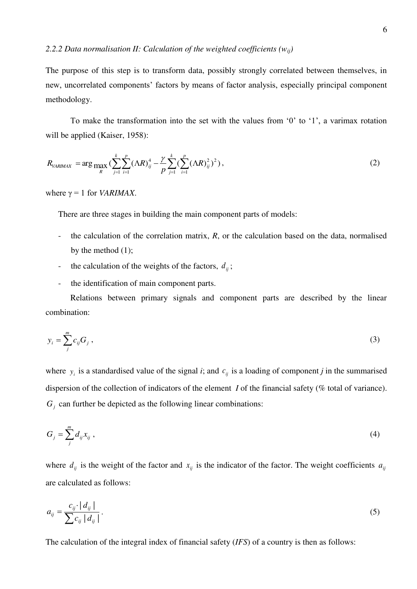The purpose of this step is to transform data, possibly strongly correlated between themselves, in new, uncorrelated components' factors by means of factor analysis, especially principal component methodology.

To make the transformation into the set with the values from "0" to "1", a varimax rotation will be applied (Kaiser, 1958):

$$
R_{VARIMAX} = \arg \max_{R} \left( \sum_{j=1}^{k} \sum_{i=1}^{p} (\Lambda R)_{ij}^{4} - \frac{\gamma}{p} \sum_{j=1}^{k} \left( \sum_{i=1}^{p} (\Lambda R)_{ij}^{2} \right)^{2} \right), \tag{2}
$$

where  $\gamma = 1$  for *VARIMAX*.

There are three stages in building the main component parts of models:

- the calculation of the correlation matrix, *R*, or the calculation based on the data, normalised by the method (1);
- the calculation of the weights of the factors,  $d_{ij}$ ;
- the identification of main component parts.

Relations between primary signals and component parts are described by the linear combination:

$$
y_i = \sum_{j}^{m} c_{ij} G_j \tag{3}
$$

where  $y_i$  is a standardised value of the signal *i*; and  $c_{ij}$  is a loading of component *j* in the summarised dispersion of the collection of indicators of the element *I* of the financial safety (% total of variance).  $G_j$  can further be depicted as the following linear combinations:

$$
G_j = \sum_{j}^{m} d_{ij} x_{ij} , \qquad (4)
$$

where  $d_{ij}$  is the weight of the factor and  $x_{ij}$  is the indicator of the factor. The weight coefficients  $a_{ij}$ are calculated as follows:

$$
a_{ij} = \frac{c_{ij} \cdot |d_{ij}|}{\sum c_{ij} |d_{ij}|}.
$$
 (5)

The calculation of the integral index of financial safety (*IFS*) of a country is then as follows: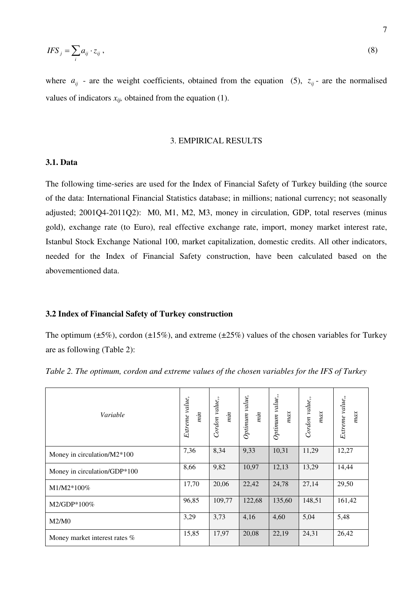$$
IFS_j = \sum_i a_{ij} \cdot z_{ij} \,,\tag{8}
$$

where  $a_{ij}$  - are the weight coefficients, obtained from the equation (5),  $z_{ij}$  - are the normalised values of indicators  $x_{ij}$ , obtained from the equation (1).

#### 3. EMPIRICAL RESULTS

# **3.1. Data**

The following time-series are used for the Index of Financial Safety of Turkey building (the source of the data: International Financial Statistics database; in millions; national currency; not seasonally adjusted; 2001Q4-2011Q2): M0, M1, M2, M3, money in circulation, GDP, total reserves (minus gold), exchange rate (to Euro), real effective exchange rate, import, money market interest rate, Istanbul Stock Exchange National 100, market capitalization, domestic credits. All other indicators, needed for the Index of Financial Safety construction, have been calculated based on the abovementioned data.

#### **3.2 Index of Financial Safety of Turkey construction**

The optimum ( $\pm 5\%$ ), cordon ( $\pm 15\%$ ), and extreme ( $\pm 25\%$ ) values of the chosen variables for Turkey are as following (Table 2):

| Variable                      | Extreme value,<br>$\dot{m}$ | Cordon value,,<br>$\dot{m}$ | Optimum value,<br>$\dot{mn}$ | Optimum value,,<br>max | Cordon value,<br>max | Extreme value,<br>max |
|-------------------------------|-----------------------------|-----------------------------|------------------------------|------------------------|----------------------|-----------------------|
| Money in circulation/M2*100   | 7,36                        | 8,34                        | 9,33                         | 10,31                  | 11,29                | 12,27                 |
| Money in circulation/GDP*100  | 8,66                        | 9,82                        | 10,97                        | 12,13                  | 13,29                | 14,44                 |
| $M1/M2*100\%$                 | 17,70                       | 20,06                       | 22,42                        | 24,78                  | 27,14                | 29,50                 |
| $M2/GDP*100\%$                | 96,85                       | 109,77                      | 122,68                       | 135,60                 | 148,51               | 161,42                |
| M2/M0                         | 3,29                        | 3,73                        | 4,16                         | 4,60                   | 5,04                 | 5,48                  |
| Money market interest rates % | 15,85                       | 17,97                       | 20,08                        | 22,19                  | 24,31                | 26,42                 |

*Table 2. The optimum, cordon and extreme values of the chosen variables for the IFS of Turkey*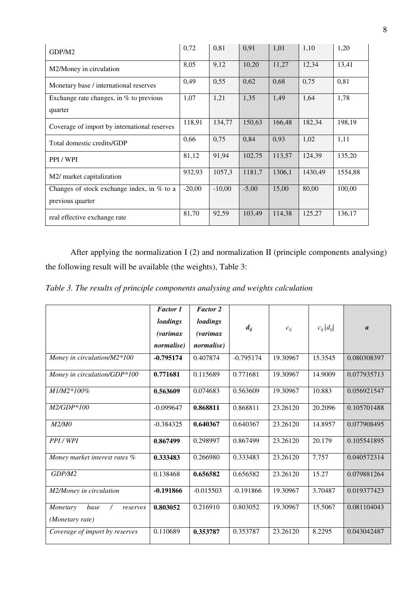| GDP/M2                                       | 0,72     | 0,81     | 0.91    | 1,01   | 1,10    | 1,20    |
|----------------------------------------------|----------|----------|---------|--------|---------|---------|
| M2/Money in circulation                      | 8,05     | 9,12     | 10,20   | 11,27  | 12,34   | 13,41   |
| Monetary base / international reserves       | 0,49     | 0,55     | 0,62    | 0,68   | 0,75    | 0,81    |
| Exchange rate changes, in $%$ to previous    | 1,07     | 1,21     | 1,35    | 1,49   | 1,64    | 1,78    |
| quarter                                      |          |          |         |        |         |         |
| Coverage of import by international reserves | 118,91   | 134,77   | 150,63  | 166,48 | 182,34  | 198,19  |
| Total domestic credits/GDP                   | 0,66     | 0,75     | 0,84    | 0,93   | 1,02    | 1,11    |
| PPI / WPI                                    | 81,12    | 91,94    | 102,75  | 113,57 | 124,39  | 135,20  |
| M2/ market capitalization                    | 932,93   | 1057,3   | 1181,7  | 1306,1 | 1430,49 | 1554,88 |
| Changes of stock exchange index, in $%$ to a | $-20,00$ | $-10,00$ | $-5,00$ | 15,00  | 80,00   | 100,00  |
| previous quarter                             |          |          |         |        |         |         |
| real effective exchange rate                 | 81,70    | 92,59    | 103,49  | 114,38 | 125,27  | 136,17  |

After applying the normalization I (2) and normalization II (principle components analysing) the following result will be available (the weights), Table 3:

*Table 3. The results of principle components analysing and weights calculation* 

|                                                               | <b>Factor 1</b><br>loadings<br>(varimax)<br><i>normalise</i> ) | <b>Factor 2</b><br>loadings<br>(varimax)<br><i>normalise</i> ) | $d_{ij}$    | $c_{ij}$ | $c_{ij} d_{ij} $ | $\boldsymbol{a}$ |
|---------------------------------------------------------------|----------------------------------------------------------------|----------------------------------------------------------------|-------------|----------|------------------|------------------|
| Money in circulation/M2*100                                   | $-0.795174$                                                    | 0.407874                                                       | $-0.795174$ | 19.30967 | 15.3545          | 0.080308397      |
| Money in circulation/GDP*100                                  | 0.771681                                                       | 0.115689                                                       | 0.771681    | 19.30967 | 14.9009          | 0.077935713      |
| $M1/M2*100%$                                                  | 0.563609                                                       | 0.074683                                                       | 0.563609    | 19.30967 | 10.883           | 0.056921547      |
| $M2/GDP*100$                                                  | $-0.099647$                                                    | 0.868811                                                       | 0.868811    | 23.26120 | 20.2096          | 0.105701488      |
| M2/M0                                                         | $-0.384325$                                                    | 0.640367                                                       | 0.640367    | 23.26120 | 14.8957          | 0.077908495      |
| PPI/WPI                                                       | 0.867499                                                       | 0.298997                                                       | 0.867499    | 23.26120 | 20.179           | 0.105541895      |
| Money market interest rates %                                 | 0.333483                                                       | 0.266980                                                       | 0.333483    | 23.26120 | 7.757            | 0.040572314      |
| GDP/M2                                                        | 0.138468                                                       | 0.656582                                                       | 0.656582    | 23.26120 | 15.27            | 0.079881264      |
| M2/Money in circulation                                       | $-0.191866$                                                    | $-0.015503$                                                    | $-0.191866$ | 19.30967 | 3.70487          | 0.019377423      |
| base<br>Monetary<br>$\sqrt{2}$<br>reserves<br>(Monetary rate) | 0.803052                                                       | 0.216910                                                       | 0.803052    | 19.30967 | 15.5067          | 0.081104043      |
| Coverage of import by reserves                                | 0.110689                                                       | 0.353787                                                       | 0.353787    | 23.26120 | 8.2295           | 0.043042487      |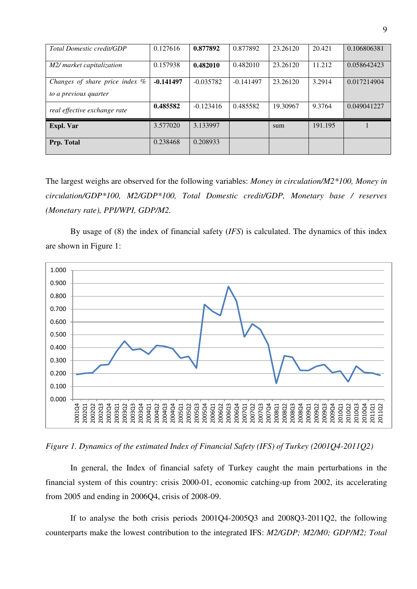| <b>Total Domestic credit/GDP</b>                        | 0.127616    | 0.877892    | 0.877892    | 23.26120 | 20.421  | 0.106806381 |
|---------------------------------------------------------|-------------|-------------|-------------|----------|---------|-------------|
| M2/ market capitalization                               | 0.157938    | 0.482010    | 0.482010    | 23.26120 | 11.212  | 0.058642423 |
| Changes of share price index %<br>to a previous quarter | $-0.141497$ | $-0.035782$ | $-0.141497$ | 23.26120 | 3.2914  | 0.017214904 |
| real effective exchange rate                            | 0.485582    | $-0.123416$ | 0.485582    | 19.30967 | 9.3764  | 0.049041227 |
| Expl. Var                                               | 3.577020    | 3.133997    |             | sum      | 191.195 |             |
| Prp. Total                                              | 0.238468    | 0.208933    |             |          |         |             |

The largest weighs are observed for the following variables: *Money in circulation/M2\*100, Money in circulation/GDP\*100, M2/GDP\*100, Total Domestic credit/GDP, Monetary base / reserves (Monetary rate), PPI/WPI, GDP/M2.* 

By usage of (8) the index of financial safety (*IFS*) is calculated. The dynamics of this index are shown in Figure 1:



*Figure 1. Dynamics of the estimated Index of Financial Safety (IFS) of Turkey (2001Q4-2011Q2)* 

In general, the Index of financial safety of Turkey caught the main perturbations in the financial system of this country: crisis 2000-01, economic catching-up from 2002, its accelerating from 2005 and ending in 2006Q4, crisis of 2008-09.

If to analyse the both crisis periods 2001Q4-2005Q3 and 2008Q3-2011Q2, the following counterparts make the lowest contribution to the integrated IFS: *M2/GDP; M2/M0; GDP/M2; Total*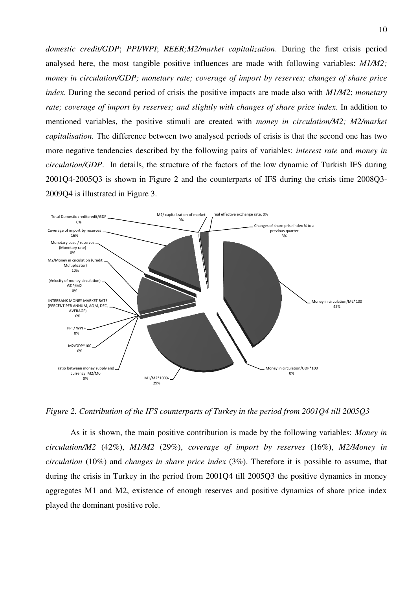*domestic credit/GDP*; *PPI/WPI*; *REER;M2/market capitalization*. During the first crisis period analysed here, the most tangible positive influences are made with following variables: *M1/M2; money in circulation/GDP; monetary rate; coverage of import by reserves; changes of share price index*. During the second period of crisis the positive impacts are made also with *M1/M2*; *monetary*  rate; coverage of import by reserves; and slightly with changes of share price index. In addition to mentioned variables, the positive stimuli are created with *money in circulation/M2; M2/market capitalisation.* The difference between two analysed periods of crisis is that the second one has two more negative tendencies described by the following pairs of variables: *interest rate* and *money in circulation/GDP*. In details, the structure of the factors of the low dynamic of Turkish IFS during 2001Q4-2005Q3 is shown in Figure 2 and the counterparts of IFS during the crisis time 2008Q3- 2009Q4 is illustrated in Figure 3.



*Figure 2. Contribution of the IFS counterparts of Turkey in the period from 2001Q4 till 2005Q3* 

As it is shown, the main positive contribution is made by the following variables: *Money in circulation/M2* (42%), *M1/M2* (29%), *coverage of import by reserves* (16%), *M2/Money in circulation* (10%) and *changes in share price index* (3%). Therefore it is possible to assume, that during the crisis in Turkey in the period from 2001Q4 till 2005Q3 the positive dynamics in money aggregates M1 and M2, existence of enough reserves and positive dynamics of share price index played the dominant positive role.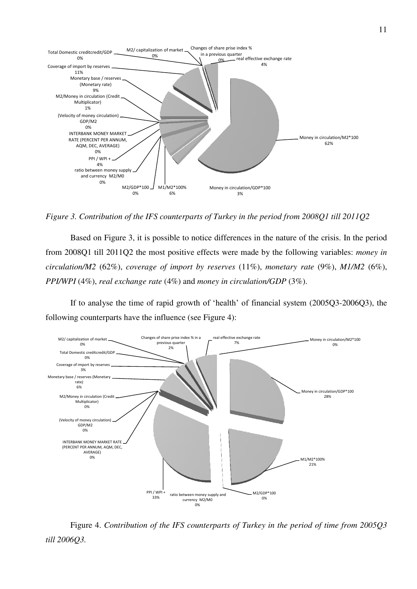

*Figure 3. Contribution of the IFS counterparts of Turkey in the period from 2008Q1 till 2011Q2* 

Based on Figure 3, it is possible to notice differences in the nature of the crisis. In the period from 2008Q1 till 2011Q2 the most positive effects were made by the following variables: *money in circulation/M2* (62%), *coverage of import by reserves* (11%), *monetary rate* (9%), *M1/M2* (6%), *PPI/WPI* (4%), *real exchange rate* (4%) and *money in circulation/GDP* (3%).

If to analyse the time of rapid growth of 'health' of financial system (2005Q3-2006Q3), the following counterparts have the influence (see Figure 4):



Figure 4. *Contribution of the IFS counterparts of Turkey in the period of time from 2005Q3 till 2006Q3.*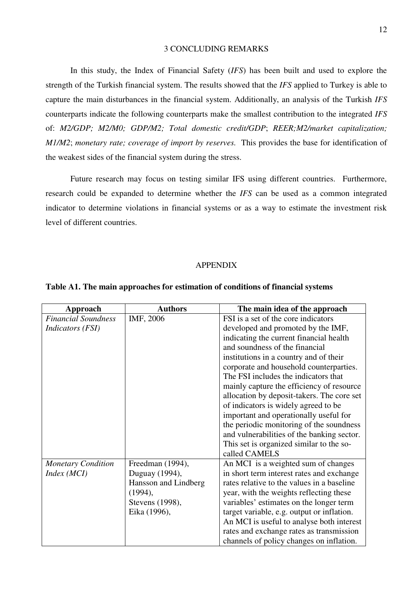# 3 CONCLUDING REMARKS

In this study, the Index of Financial Safety (*IFS*) has been built and used to explore the strength of the Turkish financial system. The results showed that the *IFS* applied to Turkey is able to capture the main disturbances in the financial system. Additionally, an analysis of the Turkish *IFS* counterparts indicate the following counterparts make the smallest contribution to the integrated *IFS* of: *M2/GDP; M2/M0; GDP/M2; Total domestic credit/GDP*; *REER;M2/market capitalization; M1/M2*; *monetary rate; coverage of import by reserves.* This provides the base for identification of the weakest sides of the financial system during the stress.

Future research may focus on testing similar IFS using different countries. Furthermore, research could be expanded to determine whether the *IFS* can be used as a common integrated indicator to determine violations in financial systems or as a way to estimate the investment risk level of different countries.

# APPENDIX

| Approach                   | <b>Authors</b>       | The main idea of the approach              |
|----------------------------|----------------------|--------------------------------------------|
| <b>Financial Soundness</b> | IMF, 2006            | FSI is a set of the core indicators        |
| <i>Indicators (FSI)</i>    |                      | developed and promoted by the IMF,         |
|                            |                      | indicating the current financial health    |
|                            |                      | and soundness of the financial             |
|                            |                      | institutions in a country and of their     |
|                            |                      | corporate and household counterparties.    |
|                            |                      | The FSI includes the indicators that       |
|                            |                      | mainly capture the efficiency of resource  |
|                            |                      | allocation by deposit-takers. The core set |
|                            |                      | of indicators is widely agreed to be       |
|                            |                      | important and operationally useful for     |
|                            |                      | the periodic monitoring of the soundness   |
|                            |                      | and vulnerabilities of the banking sector. |
|                            |                      | This set is organized similar to the so-   |
|                            |                      | called CAMELS                              |
| <b>Monetary Condition</b>  | Freedman (1994),     | An MCI is a weighted sum of changes        |
| Index(MCI)                 | Duguay (1994),       | in short term interest rates and exchange  |
|                            | Hansson and Lindberg | rates relative to the values in a baseline |
|                            | (1994),              | year, with the weights reflecting these    |
|                            | Stevens (1998),      | variables' estimates on the longer term    |
|                            | Eika (1996),         | target variable, e.g. output or inflation. |
|                            |                      | An MCI is useful to analyse both interest  |
|                            |                      | rates and exchange rates as transmission   |
|                            |                      | channels of policy changes on inflation.   |

#### **Table A1. The main approaches for estimation of conditions of financial systems**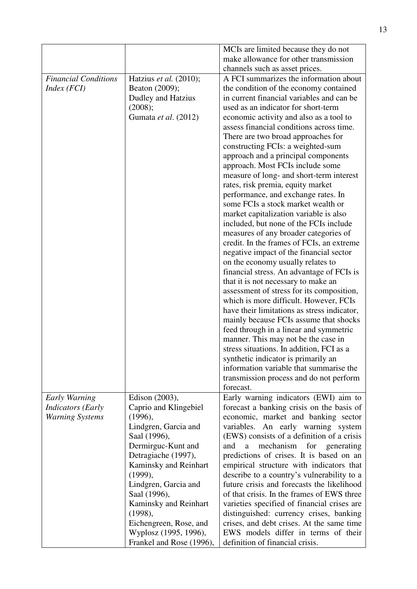|                             |                          | MCIs are limited because they do not        |
|-----------------------------|--------------------------|---------------------------------------------|
|                             |                          | make allowance for other transmission       |
|                             |                          | channels such as asset prices.              |
| <b>Financial Conditions</b> |                          | A FCI summarizes the information about      |
|                             | Hatzius et al. (2010);   |                                             |
| Index(FCI)                  | Beaton (2009);           | the condition of the economy contained      |
|                             | Dudley and Hatzius       | in current financial variables and can be   |
|                             | (2008);                  | used as an indicator for short-term         |
|                             | Gumata et al. (2012)     | economic activity and also as a tool to     |
|                             |                          | assess financial conditions across time.    |
|                             |                          | There are two broad approaches for          |
|                             |                          | constructing FCIs: a weighted-sum           |
|                             |                          | approach and a principal components         |
|                             |                          | approach. Most FCIs include some            |
|                             |                          | measure of long- and short-term interest    |
|                             |                          | rates, risk premia, equity market           |
|                             |                          | performance, and exchange rates. In         |
|                             |                          | some FCIs a stock market wealth or          |
|                             |                          |                                             |
|                             |                          | market capitalization variable is also      |
|                             |                          | included, but none of the FCIs include      |
|                             |                          | measures of any broader categories of       |
|                             |                          | credit. In the frames of FCIs, an extreme   |
|                             |                          | negative impact of the financial sector     |
|                             |                          | on the economy usually relates to           |
|                             |                          | financial stress. An advantage of FCIs is   |
|                             |                          | that it is not necessary to make an         |
|                             |                          | assessment of stress for its composition,   |
|                             |                          | which is more difficult. However, FCIs      |
|                             |                          | have their limitations as stress indicator, |
|                             |                          | mainly because FCIs assume that shocks      |
|                             |                          | feed through in a linear and symmetric      |
|                             |                          | manner. This may not be the case in         |
|                             |                          | stress situations. In addition, FCI as a    |
|                             |                          | synthetic indicator is primarily an         |
|                             |                          |                                             |
|                             |                          | information variable that summarise the     |
|                             |                          | transmission process and do not perform     |
|                             |                          | forecast.                                   |
| Early Warning               | Edison (2003),           | Early warning indicators (EWI) aim to       |
| <b>Indicators</b> (Early    | Caprio and Klingebiel    | forecast a banking crisis on the basis of   |
| <b>Warning Systems</b>      | (1996),                  | economic, market and banking sector         |
|                             | Lindgren, Garcia and     | variables. An early warning system          |
|                             | Saal (1996),             | (EWS) consists of a definition of a crisis  |
|                             | Dermirguc-Kunt and       | mechanism<br>for generating<br>and<br>a     |
|                             | Detragiache (1997),      | predictions of crises. It is based on an    |
|                             | Kaminsky and Reinhart    | empirical structure with indicators that    |
|                             | (1999),                  | describe to a country's vulnerability to a  |
|                             | Lindgren, Garcia and     | future crisis and forecasts the likelihood  |
|                             | Saal (1996),             | of that crisis. In the frames of EWS three  |
|                             | Kaminsky and Reinhart    | varieties specified of financial crises are |
|                             |                          |                                             |
|                             | (1998),                  | distinguished: currency crises, banking     |
|                             | Eichengreen, Rose, and   | crises, and debt crises. At the same time   |
|                             | Wyplosz (1995, 1996),    | EWS models differ in terms of their         |
|                             | Frankel and Rose (1996), | definition of financial crisis.             |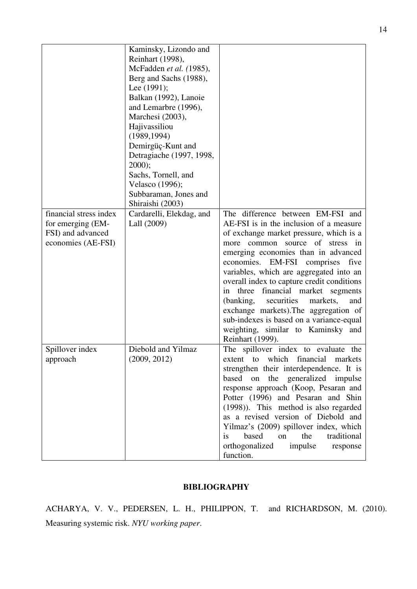| financial stress index<br>for emerging (EM-<br>FSI) and advanced<br>economies (AE-FSI) | Kaminsky, Lizondo and<br>Reinhart (1998),<br>McFadden et al. (1985),<br>Berg and Sachs (1988),<br>Lee $(1991)$ ;<br>Balkan (1992), Lanoie<br>and Lemarbre (1996),<br>Marchesi (2003),<br>Hajivassiliou<br>(1989, 1994)<br>Demirgüç-Kunt and<br>Detragiache (1997, 1998,<br>$2000$ ;<br>Sachs, Tornell, and<br>Velasco (1996);<br>Subbaraman, Jones and<br>Shiraishi (2003)<br>Cardarelli, Elekdag, and<br>Lall (2009) | The difference between EM-FSI and<br>AE-FSI is in the inclusion of a measure<br>of exchange market pressure, which is a<br>more common source of stress in<br>emerging economies than in advanced<br>economies.<br>EM-FSI<br>comprises<br>five<br>variables, which are aggregated into an<br>overall index to capture credit conditions<br>three financial market segments<br>in<br>(banking,<br>securities<br>markets,<br>and<br>exchange markets). The aggregation of<br>sub-indexes is based on a variance-equal<br>weighting, similar to Kaminsky and<br>Reinhart (1999). |
|----------------------------------------------------------------------------------------|-----------------------------------------------------------------------------------------------------------------------------------------------------------------------------------------------------------------------------------------------------------------------------------------------------------------------------------------------------------------------------------------------------------------------|-------------------------------------------------------------------------------------------------------------------------------------------------------------------------------------------------------------------------------------------------------------------------------------------------------------------------------------------------------------------------------------------------------------------------------------------------------------------------------------------------------------------------------------------------------------------------------|
| Spillover index<br>approach                                                            | Diebold and Yilmaz<br>(2009, 2012)                                                                                                                                                                                                                                                                                                                                                                                    | The spillover index to evaluate the<br>which<br>financial<br>extent<br>markets<br>to<br>strengthen their interdependence. It is<br>the generalized impulse<br>based on<br>response approach (Koop, Pesaran and<br>Potter (1996) and Pesaran and Shin<br>(1998)). This method is also regarded<br>as a revised version of Diebold and<br>Yilmaz's (2009) spillover index, which<br>based<br>the<br>is<br>on<br>traditional<br>orthogonalized<br>impulse<br>response<br>function.                                                                                               |

# **BIBLIOGRAPHY**

ACHARYA, V. V., PEDERSEN, L. H., PHILIPPON, T. and RICHARDSON, M. (2010). Measuring systemic risk. *NYU working paper*.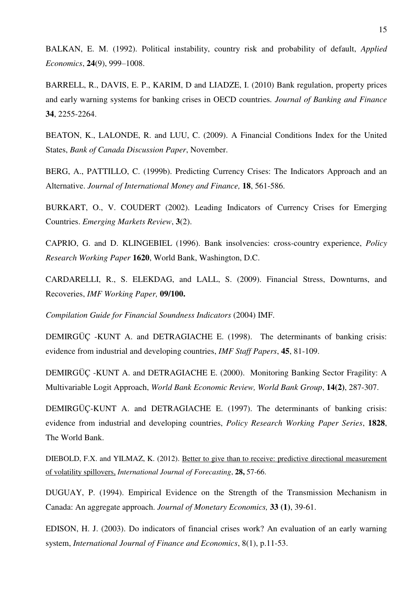BALKAN, E. M. (1992). Political instability, country risk and probability of default, *Applied Economics*, **24**(9), 999–1008.

BARRELL, R., DAVIS, E. P., KARIM, D and LIADZE, I. (2010) Bank regulation, property prices and early warning systems for banking crises in OECD countries*. Journal of Banking and Finance* **34**, 2255-2264.

BEATON, K., LALONDE, R. and LUU, C. (2009). A Financial Conditions Index for the United States, *Bank of Canada Discussion Paper*, November.

BERG, A., PATTILLO, C. (1999b). Predicting Currency Crises: The Indicators Approach and an Alternative. *Journal of International Money and Finance,* **18**, 561-586.

BURKART, O., V. COUDERT (2002). Leading Indicators of Currency Crises for Emerging Countries. *Emerging Markets Review*, **3**(2).

CAPRIO, G. and D. KLINGEBIEL (1996). Bank insolvencies: cross-country experience, *Policy Research Working Paper* **1620**, World Bank, Washington, D.C.

CARDARELLI, R., S. ELEKDAG, and LALL, S. (2009). Financial Stress, Downturns, and Recoveries, *IMF Working Paper,* **09/100.** 

*Compilation Guide for Financial Soundness Indicators* (2004) IMF.

DEMIRGÜÇ -KUNT A. and DETRAGIACHE E. (1998). The determinants of banking crisis: evidence from industrial and developing countries, *IMF Staff Papers*, **45**, 81-109.

DEMIRGÜÇ -KUNT A. and DETRAGIACHE E. (2000). Monitoring Banking Sector Fragility: A Multivariable Logit Approach, *World Bank Economic Review, World Bank Group*, **14(2)**, 287-307.

DEMIRGÜÇ-KUNT A. and DETRAGIACHE E. (1997). The determinants of banking crisis: evidence from industrial and developing countries, *Policy Research Working Paper Series*, **1828**, The World Bank.

DIEBOLD, F.X. and YILMAZ, K. (2012). [Better to give than to receive: predictive directional measurement](http://www.ssc.upenn.edu/~fdiebold/papers/paper99/DirectionofSpillovers_Mar10.pdf)  [of volatility spillovers,](http://www.ssc.upenn.edu/~fdiebold/papers/paper99/DirectionofSpillovers_Mar10.pdf) *International Journal of Forecasting*, **28,** 57-66.

DUGUAY, P. (1994). Empirical Evidence on the Strength of the Transmission Mechanism in Canada: An aggregate approach. *Journal of Monetary Economics,* **33 (1)**, 39-61.

EDISON, H. J. (2003). Do indicators of financial crises work? An evaluation of an early warning system, *International Journal of Finance and Economics*, 8(1), p.11-53.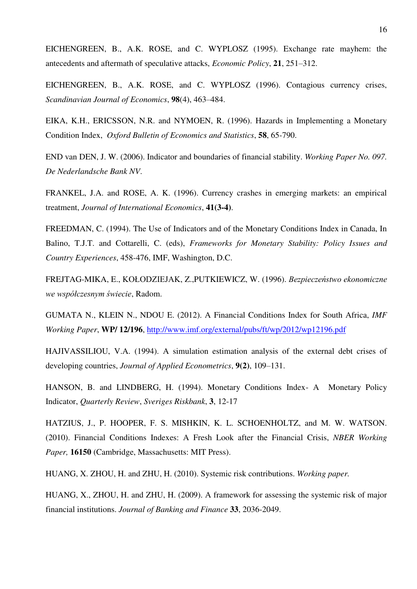EICHENGREEN, B., A.K. ROSE, and C. WYPLOSZ (1995). Exchange rate mayhem: the antecedents and aftermath of speculative attacks, *Economic Policy*, **21**, 251–312.

EICHENGREEN, B., A.K. ROSE, and C. WYPLOSZ (1996). Contagious currency crises, *Scandinavian Journal of Economics*, **98**(4), 463–484.

EIKA, K.H., ERICSSON, N.R. and NYMOEN, R. (1996). Hazards in Implementing a Monetary Condition Index, *Oxford Bulletin of Economics and Statistics*, **58**, 65-790.

END van DEN, J. W. (2006). Indicator and boundaries of financial stability. *Working Paper No. 097. De Nederlandsche Bank NV*.

FRANKEL, J.A. and ROSE, A. K. (1996). Currency crashes in emerging markets: an empirical treatment, *Journal of International Economics*, **41(3-4)**.

FREEDMAN, C. (1994). The Use of Indicators and of the Monetary Conditions Index in Canada, In Balino, T.J.T. and Cottarelli, C. (eds), *Frameworks for Monetary Stability: Policy Issues and Country Experiences*, 458-476, IMF, Washington, D.C.

FREJTAG-MIKA, E., KOŁODZIEJAK, Z.,PUTKIEWICZ, W. (1996). *Bezpieczeństwo ekonomiczne we współczesnym świecie*, Radom.

GUMATA N., KLEIN N., NDOU E. (2012). A Financial Conditions Index for South Africa, *IMF Working Paper*, **WP/ 12/196**,<http://www.imf.org/external/pubs/ft/wp/2012/wp12196.pdf>

HAJIVASSILIOU, V.A. (1994). A simulation estimation analysis of the external debt crises of developing countries, *Journal of Applied Econometrics*, **9(2)**, 109–131.

HANSON, B. and LINDBERG, H. (1994). Monetary Conditions Index- A Monetary Policy Indicator, *Quarterly Review*, *Sveriges Riskbank*, **3**, 12-17

HATZIUS, J., P. HOOPER, F. S. MISHKIN, K. L. SCHOENHOLTZ, and M. W. WATSON. (2010). Financial Conditions Indexes: A Fresh Look after the Financial Crisis, *NBER Working Paper,* **16150** (Cambridge, Massachusetts: MIT Press).

HUANG, X. ZHOU, H. and ZHU, H. (2010). Systemic risk contributions. *Working paper.* 

HUANG, X., ZHOU, H. and ZHU, H. (2009). A framework for assessing the systemic risk of major financial institutions. *Journal of Banking and Finance* **33**, 2036-2049.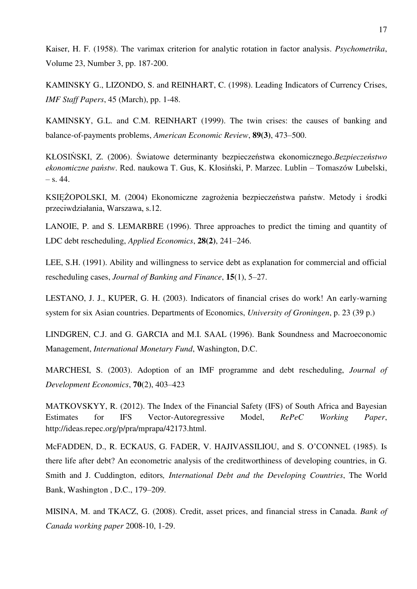Kaiser, H. F. (1958). The varimax criterion for analytic rotation in factor analysis. *Psychometrika*, Volume 23, Number 3, pp. 187-200.

KAMINSKY G., LIZONDO, S. and REINHART, C. (1998). Leading Indicators of Currency Crises, *IMF Staff Papers*, 45 (March), pp. 1-48.

KAMINSKY, G.L. and C.M. REINHART (1999). The twin crises: the causes of banking and balance-of-payments problems, *American Economic Review*, **89(3)**, 473–500.

KŁOSIŃSKI, Z. (2006). Światowe determinanty bezpieczeństwa ekonomicznego.*Bezpieczeństwo ekonomiczne państw*. Red. naukowa T. Gus, K. Kłosiński, P. Marzec. Lublin – Tomaszów Lubelski,  $-$  s. 44.

KSIĘŻOPOLSKI, M. (2004) Ekonomiczne zagrożenia bezpieczeństwa państw. Metody i środki przeciwdziałania, Warszawa, s.12.

LANOIE, P. and S. LEMARBRE (1996). Three approaches to predict the timing and quantity of LDC debt rescheduling, *Applied Economics*, **28(2)**, 241–246.

LEE, S.H. (1991). Ability and willingness to service debt as explanation for commercial and official rescheduling cases, *Journal of Banking and Finance*, **15**(1), 5–27.

LESTANO, J. J., KUPER, G. H. (2003). Indicators of financial crises do work! An early-warning system for six Asian countries. Departments of Economics, *University of Groningen*, p. 23 (39 p.)

LINDGREN, C.J. and G. GARCIA and M.I. SAAL (1996). Bank Soundness and Macroeconomic Management, *International Monetary Fund*, Washington, D.C.

MARCHESI, S. (2003). Adoption of an IMF programme and debt rescheduling, *Journal of Development Economics*, **70**(2), 403–423

MATKOVSKYY, R. (2012). The Index of the Financial Safety (IFS) of South Africa and Bayesian Estimates for IFS Vector-Autoregressive Model, *RePeC Working Paper*, http://ideas.repec.org/p/pra/mprapa/42173.html.

McFADDEN, D., R. ECKAUS, G. FADER, V. HAJIVASSILIOU, and S. O"CONNEL (1985). Is there life after debt? An econometric analysis of the creditworthiness of developing countries, in G. Smith and J. Cuddington, editors*, International Debt and the Developing Countries*, The World Bank, Washington , D.C., 179–209.

MISINA, M. and TKACZ, G. (2008). Credit, asset prices, and financial stress in Canada. *Bank of Canada working paper* 2008-10, 1-29.